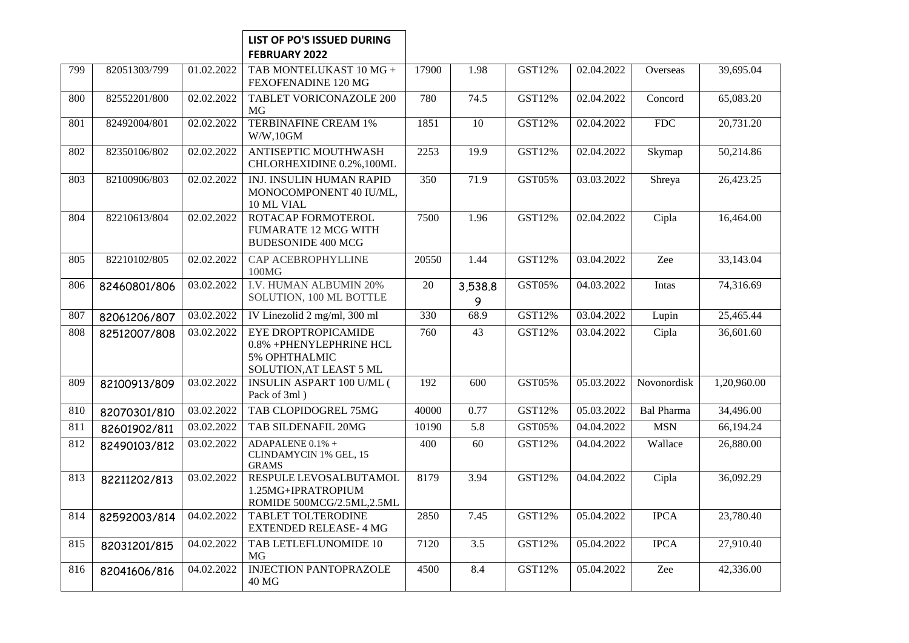## **LIST OF PO'S ISSUED DURING FEBRUARY 2022**

| 799 | 82051303/799 | 01.02.2022 | TAB MONTELUKAST 10 MG +<br>FEXOFENADINE 120 MG                                             | 17900 | 1.98              | GST12% | 02.04.2022 | Overseas          | 39,695.04   |
|-----|--------------|------------|--------------------------------------------------------------------------------------------|-------|-------------------|--------|------------|-------------------|-------------|
| 800 | 82552201/800 | 02.02.2022 | <b>TABLET VORICONAZOLE 200</b><br>MG                                                       | 780   | 74.5              | GST12% | 02.04.2022 | Concord           | 65,083.20   |
| 801 | 82492004/801 | 02.02.2022 | <b>TERBINAFINE CREAM 1%</b><br>W/W, 10GM                                                   | 1851  | $\overline{10}$   | GST12% | 02.04.2022 | FDC               | 20,731.20   |
| 802 | 82350106/802 | 02.02.2022 | ANTISEPTIC MOUTHWASH<br>CHLORHEXIDINE 0.2%, 100ML                                          | 2253  | 19.9              | GST12% | 02.04.2022 | Skymap            | 50,214.86   |
| 803 | 82100906/803 | 02.02.2022 | INJ. INSULIN HUMAN RAPID<br>MONOCOMPONENT 40 IU/ML,<br>10 ML VIAL                          | 350   | $\overline{71.9}$ | GST05% | 03.03.2022 | Shreya            | 26,423.25   |
| 804 | 82210613/804 | 02.02.2022 | ROTACAP FORMOTEROL<br><b>FUMARATE 12 MCG WITH</b><br><b>BUDESONIDE 400 MCG</b>             | 7500  | 1.96              | GST12% | 02.04.2022 | Cipla             | 16,464.00   |
| 805 | 82210102/805 | 02.02.2022 | CAP ACEBROPHYLLINE<br>100MG                                                                | 20550 | 1.44              | GST12% | 03.04.2022 | Zee               | 33,143.04   |
| 806 | 82460801/806 | 03.02.2022 | I.V. HUMAN ALBUMIN 20%<br>SOLUTION, 100 ML BOTTLE                                          | 20    | 3,538.8<br>9      | GST05% | 04.03.2022 | Intas             | 74,316.69   |
| 807 | 82061206/807 | 03.02.2022 | IV Linezolid 2 mg/ml, 300 ml                                                               | 330   | 68.9              | GST12% | 03.04.2022 | Lupin             | 25,465.44   |
| 808 | 82512007/808 | 03.02.2022 | EYE DROPTROPICAMIDE<br>0.8% +PHENYLEPHRINE HCL<br>5% OPHTHALMIC<br>SOLUTION, AT LEAST 5 ML | 760   | $\overline{43}$   | GST12% | 03.04.2022 | Cipla             | 36,601.60   |
| 809 | 82100913/809 | 03.02.2022 | <b>INSULIN ASPART 100 U/ML (</b><br>Pack of 3ml)                                           | 192   | 600               | GST05% | 05.03.2022 | Novonordisk       | 1,20,960.00 |
| 810 | 82070301/810 | 03.02.2022 | TAB CLOPIDOGREL 75MG                                                                       | 40000 | 0.77              | GST12% | 05.03.2022 | <b>Bal Pharma</b> | 34,496.00   |
| 811 | 82601902/811 | 03.02.2022 | TAB SILDENAFIL 20MG                                                                        | 10190 | 5.8               | GST05% | 04.04.2022 | <b>MSN</b>        | 66,194.24   |
| 812 | 82490103/812 | 03.02.2022 | ADAPALENE 0.1% +<br>CLINDAMYCIN 1% GEL, 15<br><b>GRAMS</b>                                 | 400   | 60                | GST12% | 04.04.2022 | Wallace           | 26,880.00   |
| 813 | 82211202/813 | 03.02.2022 | RESPULE LEVOSALBUTAMOL<br>1.25MG+IPRATROPIUM<br>ROMIDE 500MCG/2.5ML,2.5ML                  | 8179  | 3.94              | GST12% | 04.04.2022 | Cipla             | 36,092.29   |
| 814 | 82592003/814 | 04.02.2022 | TABLET TOLTERODINE<br><b>EXTENDED RELEASE-4 MG</b>                                         | 2850  | 7.45              | GST12% | 05.04.2022 | <b>IPCA</b>       | 23,780.40   |
| 815 | 82031201/815 | 04.02.2022 | TAB LETLEFLUNOMIDE 10<br><b>MG</b>                                                         | 7120  | $\overline{3.5}$  | GST12% | 05.04.2022 | <b>IPCA</b>       | 27,910.40   |
| 816 | 82041606/816 | 04.02.2022 | <b>INJECTION PANTOPRAZOLE</b><br>40 MG                                                     | 4500  | 8.4               | GST12% | 05.04.2022 | Zee               | 42,336.00   |
|     |              |            |                                                                                            |       |                   |        |            |                   |             |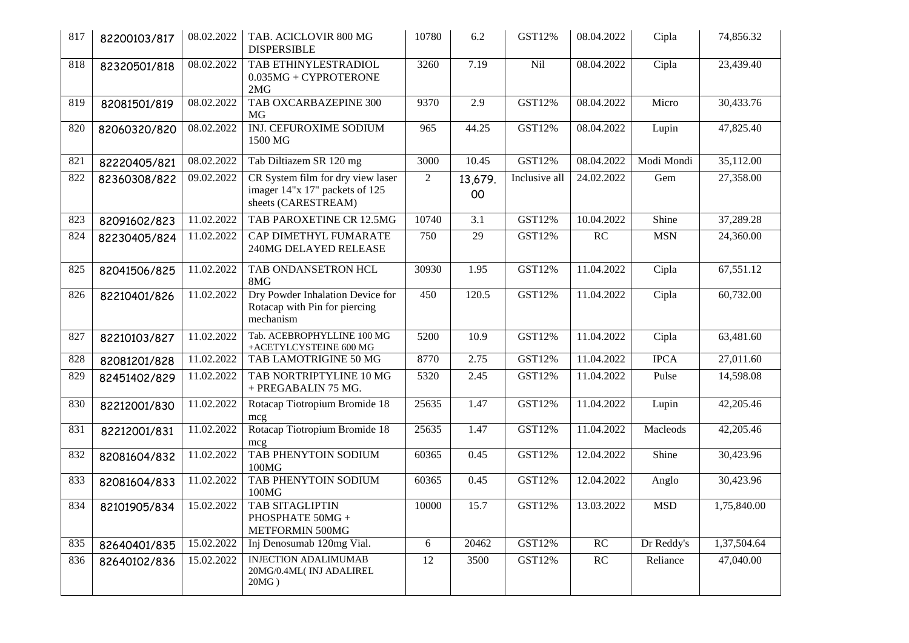| 817 | 82200103/817 | 08.02.2022 | TAB. ACICLOVIR 800 MG<br><b>DISPERSIBLE</b>                                                | 10780          | 6.2           | GST12%        | 08.04.2022 | Cipla       | 74,856.32   |
|-----|--------------|------------|--------------------------------------------------------------------------------------------|----------------|---------------|---------------|------------|-------------|-------------|
| 818 | 82320501/818 | 08.02.2022 | TAB ETHINYLESTRADIOL<br>$0.035MG + CYPROTERONE$<br>2MG                                     | 3260           | 7.19          | Nil           | 08.04.2022 | Cipla       | 23,439.40   |
| 819 | 82081501/819 | 08.02.2022 | TAB OXCARBAZEPINE 300<br>MG                                                                | 9370           | 2.9           | GST12%        | 08.04.2022 | Micro       | 30,433.76   |
| 820 | 82060320/820 | 08.02.2022 | INJ. CEFUROXIME SODIUM<br>1500 MG                                                          | 965            | 44.25         | GST12%        | 08.04.2022 | Lupin       | 47,825.40   |
| 821 | 82220405/821 | 08.02.2022 | Tab Diltiazem SR 120 mg                                                                    | 3000           | 10.45         | <b>GST12%</b> | 08.04.2022 | Modi Mondi  | 35,112.00   |
| 822 | 82360308/822 | 09.02.2022 | CR System film for dry view laser<br>imager 14"x 17" packets of 125<br>sheets (CARESTREAM) | $\overline{2}$ | 13,679.<br>00 | Inclusive all | 24.02.2022 | Gem         | 27,358.00   |
| 823 | 82091602/823 | 11.02.2022 | TAB PAROXETINE CR 12.5MG                                                                   | 10740          | 3.1           | <b>GST12%</b> | 10.04.2022 | Shine       | 37,289.28   |
| 824 | 82230405/824 | 11.02.2022 | CAP DIMETHYL FUMARATE<br>240MG DELAYED RELEASE                                             | 750            | 29            | GST12%        | RC         | <b>MSN</b>  | 24,360.00   |
| 825 | 82041506/825 | 11.02.2022 | TAB ONDANSETRON HCL<br>8MG                                                                 | 30930          | 1.95          | GST12%        | 11.04.2022 | Cipla       | 67,551.12   |
| 826 | 82210401/826 | 11.02.2022 | Dry Powder Inhalation Device for<br>Rotacap with Pin for piercing<br>mechanism             | 450            | 120.5         | GST12%        | 11.04.2022 | Cipla       | 60,732.00   |
| 827 | 82210103/827 | 11.02.2022 | Tab. ACEBROPHYLLINE 100 MG<br>+ACETYLCYSTEINE 600 MG                                       | 5200           | 10.9          | <b>GST12%</b> | 11.04.2022 | Cipla       | 63,481.60   |
| 828 | 82081201/828 | 11.02.2022 | TAB LAMOTRIGINE 50 MG                                                                      | 8770           | 2.75          | GST12%        | 11.04.2022 | <b>IPCA</b> | 27,011.60   |
| 829 | 82451402/829 | 11.02.2022 | TAB NORTRIPTYLINE 10 MG<br>+ PREGABALIN 75 MG.                                             | 5320           | 2.45          | GST12%        | 11.04.2022 | Pulse       | 14,598.08   |
| 830 | 82212001/830 | 11.02.2022 | Rotacap Tiotropium Bromide 18<br>mcg                                                       | 25635          | 1.47          | GST12%        | 11.04.2022 | Lupin       | 42,205.46   |
| 831 | 82212001/831 | 11.02.2022 | Rotacap Tiotropium Bromide 18<br>mcg                                                       | 25635          | 1.47          | GST12%        | 11.04.2022 | Macleods    | 42,205.46   |
| 832 | 82081604/832 | 11.02.2022 | TAB PHENYTOIN SODIUM<br>100MG                                                              | 60365          | 0.45          | GST12%        | 12.04.2022 | Shine       | 30,423.96   |
| 833 | 82081604/833 | 11.02.2022 | TAB PHENYTOIN SODIUM<br>100MG                                                              | 60365          | 0.45          | GST12%        | 12.04.2022 | Anglo       | 30,423.96   |
| 834 | 82101905/834 | 15.02.2022 | TAB SITAGLIPTIN<br>PHOSPHATE 50MG +<br>METFORMIN 500MG                                     | 10000          | 15.7          | GST12%        | 13.03.2022 | <b>MSD</b>  | 1,75,840.00 |
| 835 | 82640401/835 | 15.02.2022 | Inj Denosumab 120mg Vial.                                                                  | 6              | 20462         | GST12%        | RC         | Dr Reddy's  | 1,37,504.64 |
| 836 | 82640102/836 | 15.02.2022 | <b>INJECTION ADALIMUMAB</b><br>20MG/0.4ML(INJ ADALIREL<br>$20MG$ )                         | 12             | 3500          | GST12%        | RC         | Reliance    | 47,040.00   |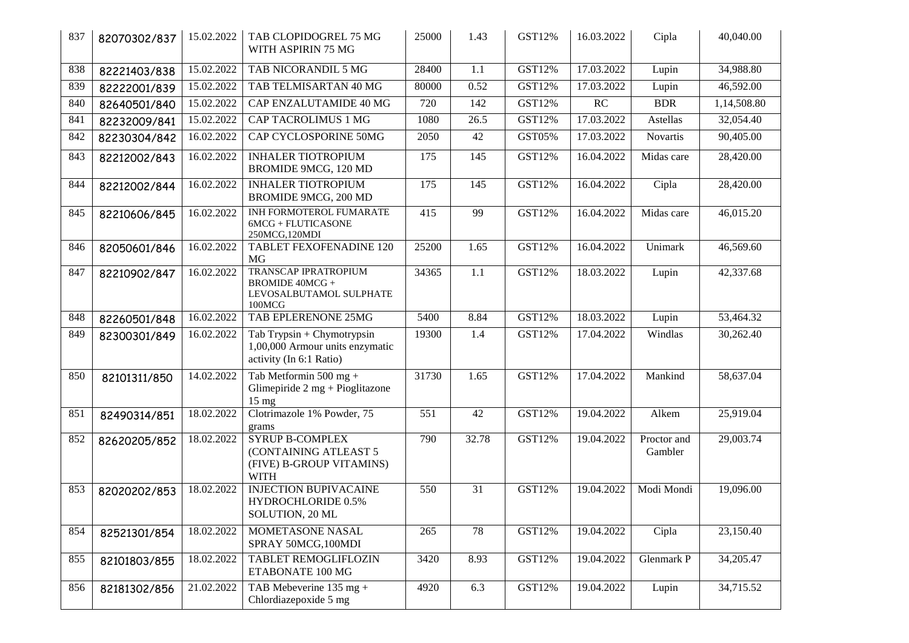| 837 | 82070302/837 | 15.02.2022 | TAB CLOPIDOGREL 75 MG<br>WITH ASPIRIN 75 MG                                                | 25000 | 1.43  | <b>GST12%</b> | 16.03.2022 | Cipla                  | 40,040.00   |
|-----|--------------|------------|--------------------------------------------------------------------------------------------|-------|-------|---------------|------------|------------------------|-------------|
| 838 | 82221403/838 | 15.02.2022 | TAB NICORANDIL 5 MG                                                                        | 28400 | 1.1   | GST12%        | 17.03.2022 | Lupin                  | 34,988.80   |
| 839 | 82222001/839 | 15.02.2022 | TAB TELMISARTAN 40 MG                                                                      | 80000 | 0.52  | GST12%        | 17.03.2022 | Lupin                  | 46,592.00   |
| 840 | 82640501/840 | 15.02.2022 | CAP ENZALUTAMIDE 40 MG                                                                     | 720   | 142   | GST12%        | RC         | <b>BDR</b>             | 1,14,508.80 |
| 841 | 82232009/841 | 15.02.2022 | <b>CAP TACROLIMUS 1 MG</b>                                                                 | 1080  | 26.5  | GST12%        | 17.03.2022 | Astellas               | 32,054.40   |
| 842 | 82230304/842 | 16.02.2022 | <b>CAP CYCLOSPORINE 50MG</b>                                                               | 2050  | 42    | GST05%        | 17.03.2022 | Novartis               | 90,405.00   |
| 843 | 82212002/843 | 16.02.2022 | <b>INHALER TIOTROPIUM</b><br>BROMIDE 9MCG, 120 MD                                          | 175   | 145   | GST12%        | 16.04.2022 | Midas care             | 28,420.00   |
| 844 | 82212002/844 | 16.02.2022 | <b>INHALER TIOTROPIUM</b><br>BROMIDE 9MCG, 200 MD                                          | 175   | 145   | GST12%        | 16.04.2022 | Cipla                  | 28,420.00   |
| 845 | 82210606/845 | 16.02.2022 | INH FORMOTEROL FUMARATE<br>$6MCG + FLUTICASONE$<br>250MCG,120MDI                           | 415   | 99    | GST12%        | 16.04.2022 | Midas care             | 46,015.20   |
| 846 | 82050601/846 | 16.02.2022 | <b>TABLET FEXOFENADINE 120</b><br>MG                                                       | 25200 | 1.65  | <b>GST12%</b> | 16.04.2022 | Unimark                | 46,569.60   |
| 847 | 82210902/847 | 16.02.2022 | <b>TRANSCAP IPRATROPIUM</b><br><b>BROMIDE 40MCG +</b><br>LEVOSALBUTAMOL SULPHATE<br>100MCG | 34365 | 1.1   | GST12%        | 18.03.2022 | Lupin                  | 42,337.68   |
| 848 | 82260501/848 | 16.02.2022 | TAB EPLERENONE 25MG                                                                        | 5400  | 8.84  | GST12%        | 18.03.2022 | Lupin                  | 53,464.32   |
| 849 | 82300301/849 | 16.02.2022 | Tab Trypsin + Chymotrypsin<br>1,00,000 Armour units enzymatic<br>activity (In 6:1 Ratio)   | 19300 | 1.4   | GST12%        | 17.04.2022 | Windlas                | 30,262.40   |
| 850 | 82101311/850 | 14.02.2022 | Tab Metformin 500 mg +<br>Glimepiride $2 mg + P$ ioglitazone<br>$15 \text{ mg}$            | 31730 | 1.65  | <b>GST12%</b> | 17.04.2022 | Mankind                | 58,637.04   |
| 851 | 82490314/851 | 18.02.2022 | Clotrimazole 1% Powder, 75<br>grams                                                        | 551   | 42    | GST12%        | 19.04.2022 | Alkem                  | 25,919.04   |
| 852 | 82620205/852 | 18.02.2022 | <b>SYRUP B-COMPLEX</b><br>(CONTAINING ATLEAST 5<br>(FIVE) B-GROUP VITAMINS)<br><b>WITH</b> | 790   | 32.78 | <b>GST12%</b> | 19.04.2022 | Proctor and<br>Gambler | 29,003.74   |
| 853 | 82020202/853 | 18.02.2022 | <b>INJECTION BUPIVACAINE</b><br>HYDROCHLORIDE 0.5%<br>SOLUTION, 20 ML                      | 550   | 31    | GST12%        | 19.04.2022 | Modi Mondi             | 19,096.00   |
| 854 | 82521301/854 | 18.02.2022 | MOMETASONE NASAL<br>SPRAY 50MCG, 100MDI                                                    | 265   | 78    | GST12%        | 19.04.2022 | Cipla                  | 23,150.40   |
| 855 | 82101803/855 | 18.02.2022 | <b>TABLET REMOGLIFLOZIN</b><br>ETABONATE 100 MG                                            | 3420  | 8.93  | GST12%        | 19.04.2022 | Glenmark P             | 34,205.47   |
| 856 | 82181302/856 | 21.02.2022 | TAB Mebeverine $135 \text{ mg} +$<br>Chlordiazepoxide 5 mg                                 | 4920  | 6.3   | GST12%        | 19.04.2022 | Lupin                  | 34,715.52   |